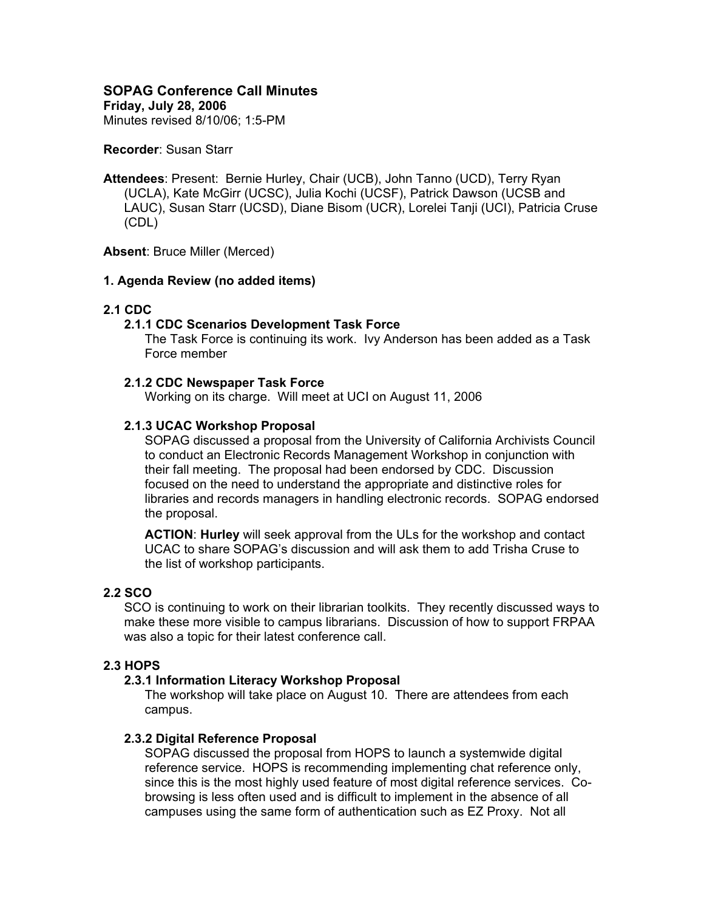# **SOPAG Conference Call Minutes**

**Friday, July 28, 2006** 

Minutes revised 8/10/06; 1:5-PM

#### **Recorder**: Susan Starr

**Attendees**: Present: Bernie Hurley, Chair (UCB), John Tanno (UCD), Terry Ryan (UCLA), Kate McGirr (UCSC), Julia Kochi (UCSF), Patrick Dawson (UCSB and LAUC), Susan Starr (UCSD), Diane Bisom (UCR), Lorelei Tanji (UCI), Patricia Cruse (CDL)

**Absent**: Bruce Miller (Merced)

### **1. Agenda Review (no added items)**

# **2.1 CDC**

### **2.1.1 CDC Scenarios Development Task Force**

The Task Force is continuing its work. Ivy Anderson has been added as a Task Force member

### **2.1.2 CDC Newspaper Task Force**

Working on its charge. Will meet at UCI on August 11, 2006

### **2.1.3 UCAC Workshop Proposal**

SOPAG discussed a proposal from the University of California Archivists Council to conduct an Electronic Records Management Workshop in conjunction with their fall meeting. The proposal had been endorsed by CDC. Discussion focused on the need to understand the appropriate and distinctive roles for libraries and records managers in handling electronic records. SOPAG endorsed the proposal.

**ACTION**: **Hurley** will seek approval from the ULs for the workshop and contact UCAC to share SOPAG's discussion and will ask them to add Trisha Cruse to the list of workshop participants.

### **2.2 SCO**

SCO is continuing to work on their librarian toolkits. They recently discussed ways to make these more visible to campus librarians. Discussion of how to support FRPAA was also a topic for their latest conference call.

# **2.3 HOPS**

### **2.3.1 Information Literacy Workshop Proposal**

The workshop will take place on August 10. There are attendees from each campus.

### **2.3.2 Digital Reference Proposal**

SOPAG discussed the proposal from HOPS to launch a systemwide digital reference service. HOPS is recommending implementing chat reference only, since this is the most highly used feature of most digital reference services. Cobrowsing is less often used and is difficult to implement in the absence of all campuses using the same form of authentication such as EZ Proxy. Not all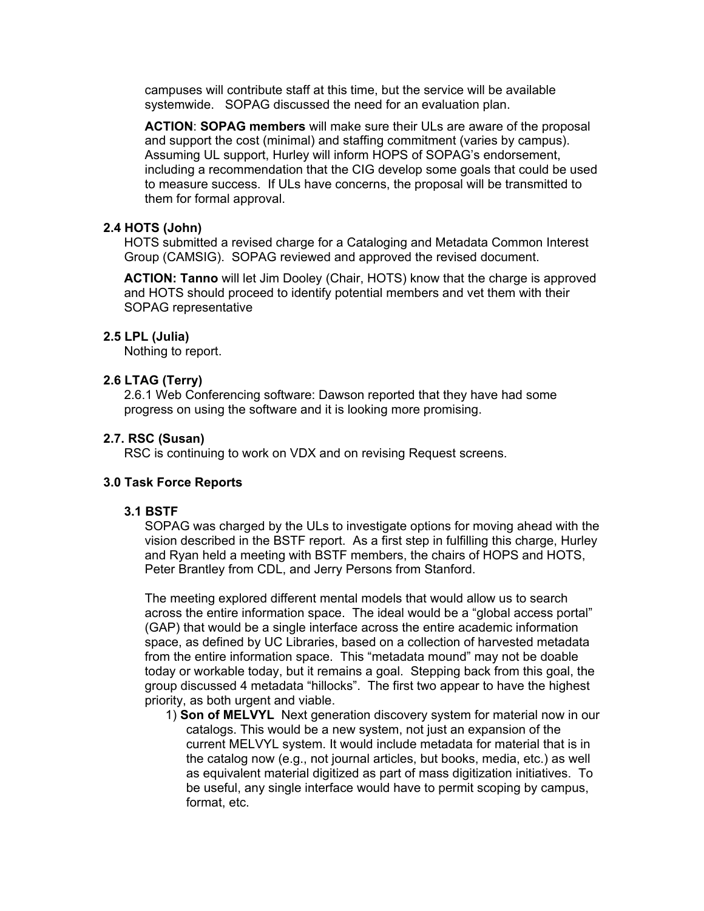campuses will contribute staff at this time, but the service will be available systemwide. SOPAG discussed the need for an evaluation plan.

**ACTION**: **SOPAG members** will make sure their ULs are aware of the proposal and support the cost (minimal) and staffing commitment (varies by campus). Assuming UL support, Hurley will inform HOPS of SOPAG's endorsement, including a recommendation that the CIG develop some goals that could be used to measure success. If ULs have concerns, the proposal will be transmitted to them for formal approval.

### **2.4 HOTS (John)**

HOTS submitted a revised charge for a Cataloging and Metadata Common Interest Group (CAMSIG). SOPAG reviewed and approved the revised document.

**ACTION: Tanno** will let Jim Dooley (Chair, HOTS) know that the charge is approved and HOTS should proceed to identify potential members and vet them with their SOPAG representative

# **2.5 LPL (Julia)**

Nothing to report.

# **2.6 LTAG (Terry)**

2.6.1 Web Conferencing software: Dawson reported that they have had some progress on using the software and it is looking more promising.

### **2.7. RSC (Susan)**

RSC is continuing to work on VDX and on revising Request screens.

# **3.0 Task Force Reports**

### **3.1 BSTF**

SOPAG was charged by the ULs to investigate options for moving ahead with the vision described in the BSTF report. As a first step in fulfilling this charge, Hurley and Ryan held a meeting with BSTF members, the chairs of HOPS and HOTS, Peter Brantley from CDL, and Jerry Persons from Stanford.

The meeting explored different mental models that would allow us to search across the entire information space. The ideal would be a "global access portal" (GAP) that would be a single interface across the entire academic information space, as defined by UC Libraries, based on a collection of harvested metadata from the entire information space. This "metadata mound" may not be doable today or workable today, but it remains a goal. Stepping back from this goal, the group discussed 4 metadata "hillocks". The first two appear to have the highest priority, as both urgent and viable.

1) **Son of MELVYL** Next generation discovery system for material now in our catalogs. This would be a new system, not just an expansion of the current MELVYL system. It would include metadata for material that is in the catalog now (e.g., not journal articles, but books, media, etc.) as well as equivalent material digitized as part of mass digitization initiatives. To be useful, any single interface would have to permit scoping by campus, format, etc.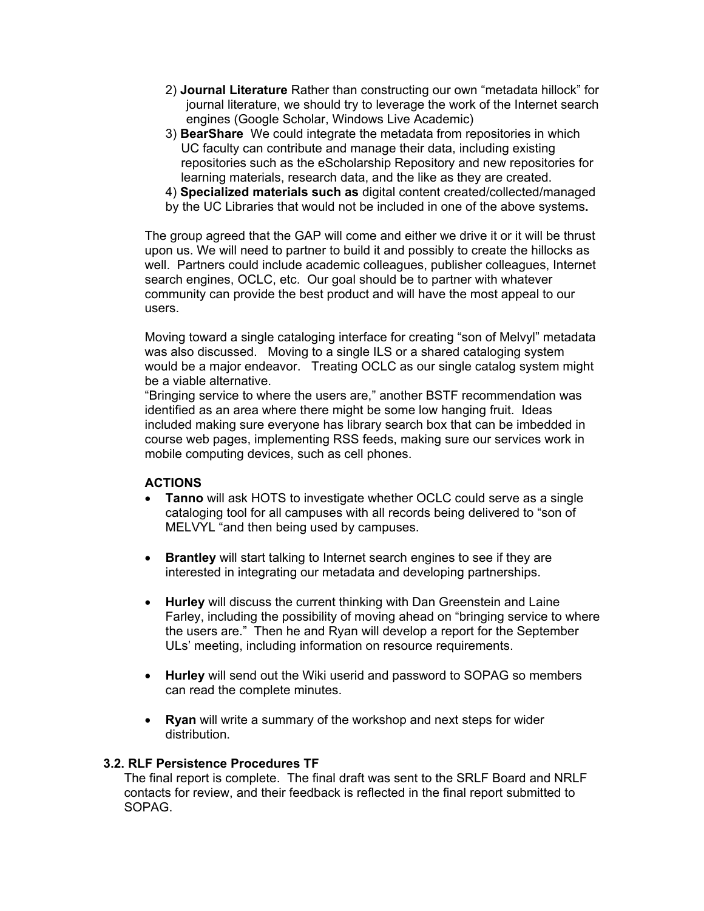- 2) **Journal Literature** Rather than constructing our own "metadata hillock" for journal literature, we should try to leverage the work of the Internet search engines (Google Scholar, Windows Live Academic)
- 3) **BearShare** We could integrate the metadata from repositories in which UC faculty can contribute and manage their data, including existing repositories such as the eScholarship Repository and new repositories for learning materials, research data, and the like as they are created.
- 4) **Specialized materials such as** digital content created/collected/managed
- by the UC Libraries that would not be included in one of the above systems**.**

The group agreed that the GAP will come and either we drive it or it will be thrust upon us. We will need to partner to build it and possibly to create the hillocks as well. Partners could include academic colleagues, publisher colleagues, Internet search engines, OCLC, etc. Our goal should be to partner with whatever community can provide the best product and will have the most appeal to our users.

Moving toward a single cataloging interface for creating "son of Melvyl" metadata was also discussed. Moving to a single ILS or a shared cataloging system would be a major endeavor. Treating OCLC as our single catalog system might be a viable alternative.

"Bringing service to where the users are," another BSTF recommendation was identified as an area where there might be some low hanging fruit. Ideas included making sure everyone has library search box that can be imbedded in course web pages, implementing RSS feeds, making sure our services work in mobile computing devices, such as cell phones.

# **ACTIONS**

- **Tanno** will ask HOTS to investigate whether OCLC could serve as a single cataloging tool for all campuses with all records being delivered to "son of MELVYL "and then being used by campuses.
- **Brantley** will start talking to Internet search engines to see if they are interested in integrating our metadata and developing partnerships.
- **Hurley** will discuss the current thinking with Dan Greenstein and Laine Farley, including the possibility of moving ahead on "bringing service to where the users are." Then he and Ryan will develop a report for the September ULs' meeting, including information on resource requirements.
- **Hurley** will send out the Wiki userid and password to SOPAG so members can read the complete minutes.
- **Ryan** will write a summary of the workshop and next steps for wider distribution.

### **3.2. RLF Persistence Procedures TF**

The final report is complete. The final draft was sent to the SRLF Board and NRLF contacts for review, and their feedback is reflected in the final report submitted to SOPAG.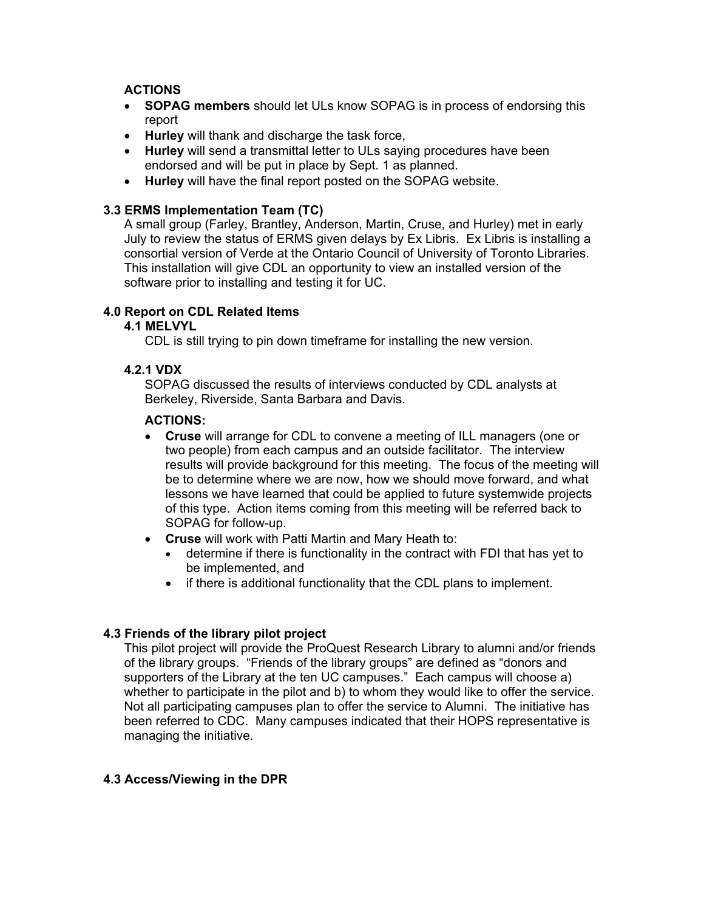# **ACTIONS**

- **SOPAG members** should let ULs know SOPAG is in process of endorsing this report
- **Hurley** will thank and discharge the task force,
- **Hurley** will send a transmittal letter to ULs saying procedures have been endorsed and will be put in place by Sept. 1 as planned.
- **Hurley** will have the final report posted on the SOPAG website.

## **3.3 ERMS Implementation Team (TC)**

A small group (Farley, Brantley, Anderson, Martin, Cruse, and Hurley) met in early July to review the status of ERMS given delays by Ex Libris. Ex Libris is installing a consortial version of Verde at the Ontario Council of University of Toronto Libraries. This installation will give CDL an opportunity to view an installed version of the software prior to installing and testing it for UC.

# **4.0 Report on CDL Related Items**

# **4.1 MELVYL**

CDL is still trying to pin down timeframe for installing the new version.

### **4.2.1 VDX**

SOPAG discussed the results of interviews conducted by CDL analysts at Berkeley, Riverside, Santa Barbara and Davis.

## **ACTIONS:**

- **Cruse** will arrange for CDL to convene a meeting of ILL managers (one or two people) from each campus and an outside facilitator. The interview results will provide background for this meeting. The focus of the meeting will be to determine where we are now, how we should move forward, and what lessons we have learned that could be applied to future systemwide projects of this type. Action items coming from this meeting will be referred back to SOPAG for follow-up.
- **Cruse** will work with Patti Martin and Mary Heath to:
	- determine if there is functionality in the contract with FDI that has yet to be implemented, and
	- if there is additional functionality that the CDL plans to implement.

# **4.3 Friends of the library pilot project**

This pilot project will provide the ProQuest Research Library to alumni and/or friends of the library groups. "Friends of the library groups" are defined as "donors and supporters of the Library at the ten UC campuses." Each campus will choose a) whether to participate in the pilot and b) to whom they would like to offer the service. Not all participating campuses plan to offer the service to Alumni. The initiative has been referred to CDC. Many campuses indicated that their HOPS representative is managing the initiative.

# **4.3 Access/Viewing in the DPR**